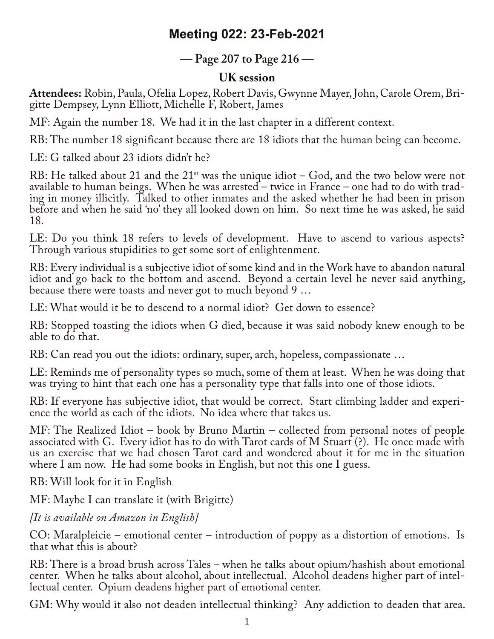## **Meeting 022: 23-Feb-2021**

## **— Page 207 to Page 216 —**

## **UK session**

**Attendees:** Robin, Paula, Ofelia Lopez, Robert Davis, Gwynne Mayer, John, Carole Orem, Bri‐ gitte Dempsey, Lynn Elliott, Michelle F, Robert, James

MF: Again the number 18. We had it in the last chapter in a different context.

RB: The number 18 significant because there are 18 idiots that the human being can become.

LE: G talked about 23 idiots didn't he?

RB: He talked about 21 and the  $21<sup>st</sup>$  was the unique idiot – God, and the two below were not available to human beings. When he was arrested – twice in France – one had to do with trad‐ ing in money illicitly. Talked to other inmates and the asked whether he had been in prison before and when he said 'no' they all looked down on him. So next time he was asked, he said 18.

LE: Do you think 18 refers to levels of development. Have to ascend to various aspects? Through various stupidities to get some sort of enlightenment.

RB: Every individual is a subjective idiot of some kind and in the Work have to abandon natural idiot and go back to the bottom and ascend. Beyond a certain level he never said anything, because there were toasts and never got to much beyond 9 …

LE: What would it be to descend to a normal idiot? Get down to essence?

RB: Stopped toasting the idiots when G died, because it was said nobody knew enough to be able to do that.

RB: Can read you out the idiots: ordinary, super, arch, hopeless, compassionate …

LE: Reminds me of personality types so much, some of them at least. When he was doing that was trying to hint that each one has a personality type that falls into one of those idiots.

RB: If everyone has subjective idiot, that would be correct. Start climbing ladder and experience the world as each of the idiots. No idea where that takes us.

MF: The Realized Idiot – book by Bruno Martin – collected from personal notes of people associated with G. Every idiot has to do with Tarot cards of M Stuart (?). He once made with us an exercise that we had chosen Tarot card and wondered about it for me in the situation where I am now. He had some books in English, but not this one I guess.

RB: Will look for it in English

MF: Maybe I can translate it (with Brigitte)

*[It is available on Amazon in English]*

CO: Maralpleicie – emotional center – introduction of poppy as a distortion of emotions. Is that what this is about?

RB: There is a broad brush across Tales – when he talks about opium/hashish about emotional center. When he talks about alcohol, about intellectual. Alcohol deadens higher part of intel‐ lectual center. Opium deadens higher part of emotional center.

GM: Why would it also not deaden intellectual thinking? Any addiction to deaden that area.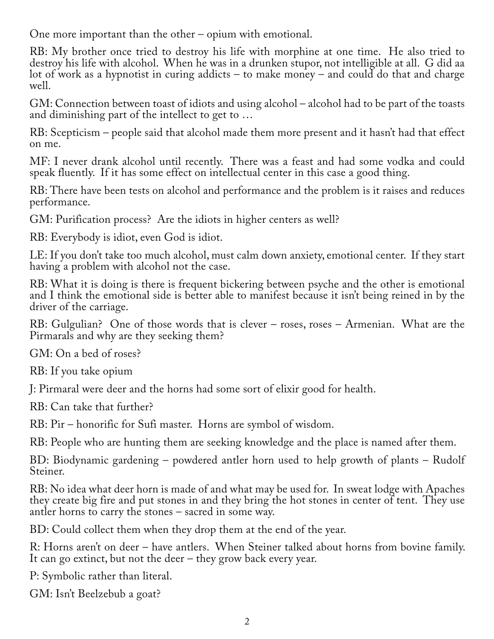One more important than the other – opium with emotional.

RB: My brother once tried to destroy his life with morphine at one time. He also tried to destroy his life with alcohol. When he was in a drunken stupor, not intelligible at all. G did aa lot of work as a hypnotist in curing addicts – to make money – and could do that and charge well.

GM: Connection between toast of idiots and using alcohol – alcohol had to be part of the toasts and diminishing part of the intellect to get to …

RB: Scepticism – people said that alcohol made them more present and it hasn't had that effect on me.

MF: I never drank alcohol until recently. There was a feast and had some vodka and could speak fluently. If it has some effect on intellectual center in this case a good thing.

RB: There have been tests on alcohol and performance and the problem is it raises and reduces performance.

GM: Purification process? Are the idiots in higher centers as well?

RB: Everybody is idiot, even God is idiot.

LE: If you don't take too much alcohol, must calm down anxiety, emotional center. If they start having a problem with alcohol not the case.

RB: What it is doing is there is frequent bickering between psyche and the other is emotional and I think the emotional side is better able to manifest because it isn't being reined in by the driver of the carriage.

RB: Gulgulian? One of those words that is clever – roses, roses – Armenian. What are the Pirmarals and why are they seeking them?

GM: On a bed of roses?

RB: If you take opium

J: Pirmaral were deer and the horns had some sort of elixir good for health.

RB: Can take that further?

RB: Pir – honorific for Sufi master. Horns are symbol of wisdom.

RB: People who are hunting them are seeking knowledge and the place is named after them.

BD: Biodynamic gardening – powdered antler horn used to help growth of plants – Rudolf Steiner.

RB: No idea what deer horn is made of and what may be used for. In sweat lodge with Apaches they create big fire and put stones in and they bring the hot stones in center of tent. They use antler horns to carry the stones – sacred in some way.

BD: Could collect them when they drop them at the end of the year.

R: Horns aren't on deer – have antlers. When Steiner talked about horns from bovine family. It can go extinct, but not the deer – they grow back every year.

P: Symbolic rather than literal.

GM: Isn't Beelzebub a goat?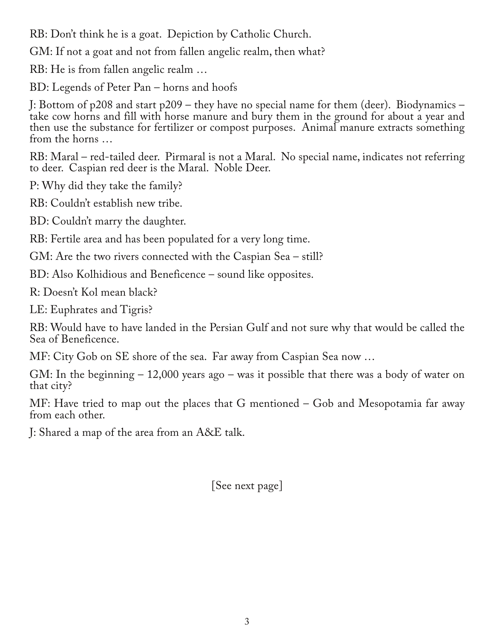RB: Don't think he is a goat. Depiction by Catholic Church.

GM: If not a goat and not from fallen angelic realm, then what?

RB: He is from fallen angelic realm …

BD: Legends of Peter Pan – horns and hoofs

J: Bottom of p208 and start p209 – they have no special name for them (deer). Biodynamics – take cow horns and fill with horse manure and bury them in the ground for about a year and then use the substance for fertilizer or compost purposes. Animal manure extracts something from the horns …

RB: Maral – red-tailed deer. Pirmaral is not a Maral. No special name, indicates not referring to deer. Caspian red deer is the Maral. Noble Deer.

P: Why did they take the family?

RB: Couldn't establish new tribe.

BD: Couldn't marry the daughter.

RB: Fertile area and has been populated for a very long time.

GM: Are the two rivers connected with the Caspian Sea – still?

BD: Also Kolhidious and Beneficence – sound like opposites.

R: Doesn't Kol mean black?

LE: Euphrates and Tigris?

RB: Would have to have landed in the Persian Gulf and not sure why that would be called the Sea of Beneficence.

MF: City Gob on SE shore of the sea. Far away from Caspian Sea now …

GM: In the beginning – 12,000 years ago – was it possible that there was a body of water on that city?

MF: Have tried to map out the places that G mentioned – Gob and Mesopotamia far away from each other.

J: Shared a map of the area from an A&E talk.

[See next page]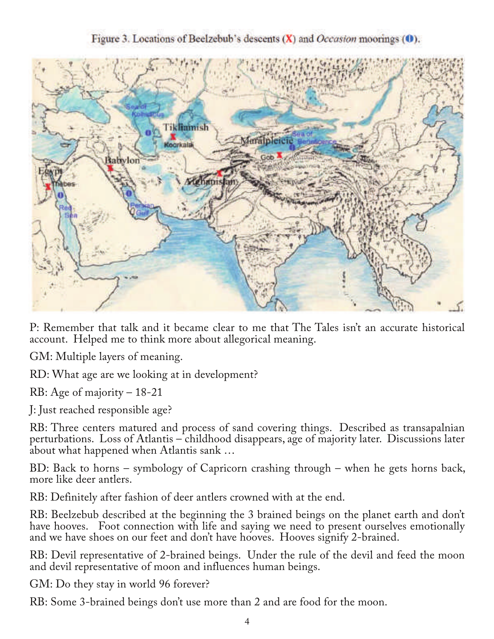Figure 3. Locations of Beelzebub's descents  $(X)$  and *Occasion* moorings  $(0)$ .



P: Remember that talk and it became clear to me that The Tales isn't an accurate historical account. Helped me to think more about allegorical meaning.

GM: Multiple layers of meaning.

RD: What age are we looking at in development?

RB: Age of majority – 18-21

J: Just reached responsible age?

RB: Three centers matured and process of sand covering things. Described as transapalnian perturbations. Loss of Atlantis – childhood disappears, age of majority later. Discussions later about what happened when Atlantis sank …

BD: Back to horns – symbology of Capricorn crashing through – when he gets horns back, more like deer antlers.

RB: Definitely after fashion of deer antlers crowned with at the end.

RB: Beelzebub described at the beginning the 3 brained beings on the planet earth and don't have hooves. Foot connection with life and saying we need to present ourselves emotionally and we have shoes on our feet and don't have hooves. Hooves signify 2-brained.

RB: Devil representative of 2-brained beings. Under the rule of the devil and feed the moon and devil representative of moon and influences human beings.

GM: Do they stay in world 96 forever?

RB: Some 3-brained beings don't use more than 2 and are food for the moon.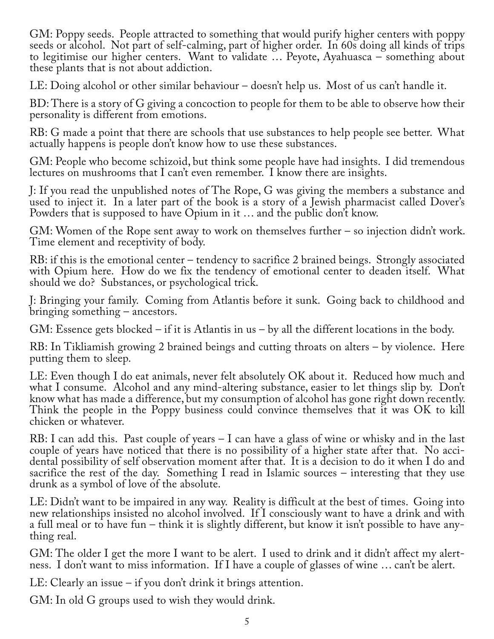GM: Poppy seeds. People attracted to something that would purify higher centers with poppy seeds or alcohol. Not part of self-calming, part of higher order. In 60s doing all kinds of trips to legitimise our higher centers. Want to validate … Peyote, Ayahuasca – something about these plants that is not about addiction.

LE: Doing alcohol or other similar behaviour – doesn't help us. Most of us can't handle it.

BD: There is a story of G giving a concoction to people for them to be able to observe how their personality is different from emotions.

RB: G made a point that there are schools that use substances to help people see better. What actually happens is people don't know how to use these substances.

GM: People who become schizoid, but think some people have had insights. I did tremendous lectures on mushrooms that I can't even remember. I know there are insights.

J: If you read the unpublished notes of The Rope, G was giving the members a substance and used to inject it. In a later part of the book is a story of a Jewish pharmacist called Dover's Powders that is supposed to have Opium in it … and the public don't know.

GM: Women of the Rope sent away to work on themselves further – so injection didn't work. Time element and receptivity of body.

RB: if this is the emotional center – tendency to sacrifice 2 brained beings. Strongly associated with Opium here. How do we fix the tendency of emotional center to deaden itself. What should we do? Substances, or psychological trick.

J: Bringing your family. Coming from Atlantis before it sunk. Going back to childhood and bringing something – ancestors.

GM: Essence gets blocked – if it is Atlantis in us – by all the different locations in the body.

RB: In Tikliamish growing 2 brained beings and cutting throats on alters – by violence. Here putting them to sleep.

LE: Even though I do eat animals, never felt absolutely OK about it. Reduced how much and what I consume. Alcohol and any mind-altering substance, easier to let things slip by. Don't know what has made a difference, but my consumption of alcohol has gone right down recently. Think the people in the Poppy business could convince themselves that it was OK to kill chicken or whatever.

RB: I can add this. Past couple of years – I can have a glass of wine or whisky and in the last couple of years have noticed that there is no possibility of a higher state after that. No accidental possibility of self observation moment after that. It is a decision to do it when I do and sacrifice the rest of the day. Something I read in Islamic sources – interesting that they use drunk as a symbol of love of the absolute.

LE: Didn't want to be impaired in any way. Reality is difficult at the best of times. Going into new relationships insisted no alcohol involved. If I consciously want to have a drink and with a full meal or to have fun – think it is slightly different, but know it isn't possible to have any‐ thing real.

GM: The older I get the more I want to be alert. I used to drink and it didn't affect my alert‐ ness. I don't want to miss information. If I have a couple of glasses of wine … can't be alert.

LE: Clearly an issue – if you don't drink it brings attention.

GM: In old G groups used to wish they would drink.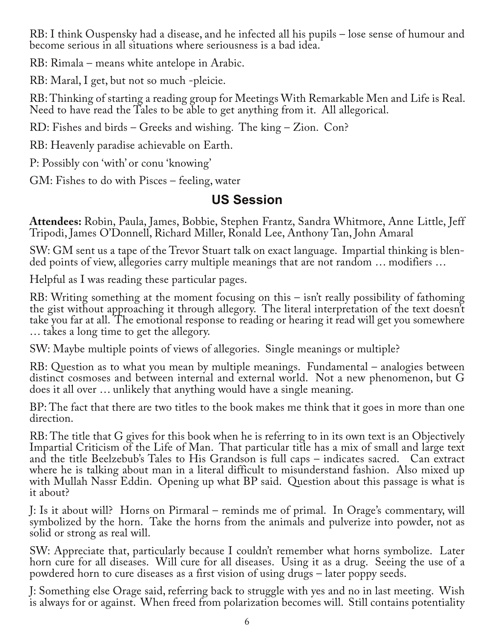RB: I think Ouspensky had a disease, and he infected all his pupils – lose sense of humour and become serious in all situations where seriousness is a bad idea.

RB: Rimala – means white antelope in Arabic.

RB: Maral, I get, but not so much -pleicie.

RB: Thinking of starting a reading group for Meetings With Remarkable Men and Life is Real. Need to have read the Tales to be able to get anything from it. All allegorical.

RD: Fishes and birds – Greeks and wishing. The king – Zion. Con?

RB: Heavenly paradise achievable on Earth.

P: Possibly con 'with' or conu 'knowing'

GM: Fishes to do with Pisces – feeling, water

## **US Session**

**Attendees:** Robin, Paula, James, Bobbie, Stephen Frantz, Sandra Whitmore, Anne Little, Jeff Tripodi, James O'Donnell, Richard Miller, Ronald Lee, Anthony Tan, John Amaral

SW: GM sent us a tape of the Trevor Stuart talk on exact language. Impartial thinking is blen‐ ded points of view, allegories carry multiple meanings that are not random … modifiers …

Helpful as I was reading these particular pages.

RB: Writing something at the moment focusing on this – isn't really possibility of fathoming the gist without approaching it through allegory. The literal interpretation of the text doesn't take you far at all. The emotional response to reading or hearing it read will get you somewhere … takes a long time to get the allegory.

SW: Maybe multiple points of views of allegories. Single meanings or multiple?

RB: Question as to what you mean by multiple meanings. Fundamental – analogies between distinct cosmoses and between internal and external world. Not a new phenomenon, but G does it all over … unlikely that anything would have a single meaning.

BP: The fact that there are two titles to the book makes me think that it goes in more than one direction.

RB: The title that G gives for this book when he is referring to in its own text is an Objectively Impartial Criticism of the Life of Man. That particular title has a mix of small and large text and the title Beelzebub's Tales to His Grandson is full caps – indicates sacred. Can extract where he is talking about man in a literal difficult to misunderstand fashion. Also mixed up with Mullah Nassr Eddin. Opening up what BP said. Question about this passage is what is it about?

J: Is it about will? Horns on Pirmaral – reminds me of primal. In Orage's commentary, will symbolized by the horn. Take the horns from the animals and pulverize into powder, not as solid or strong as real will.

SW: Appreciate that, particularly because I couldn't remember what horns symbolize. Later horn cure for all diseases. Will cure for all diseases. Using it as a drug. Seeing the use of a powdered horn to cure diseases as a first vision of using drugs – later poppy seeds.

J: Something else Orage said, referring back to struggle with yes and no in last meeting. Wish is always for or against. When freed from polarization becomes will. Still contains potentiality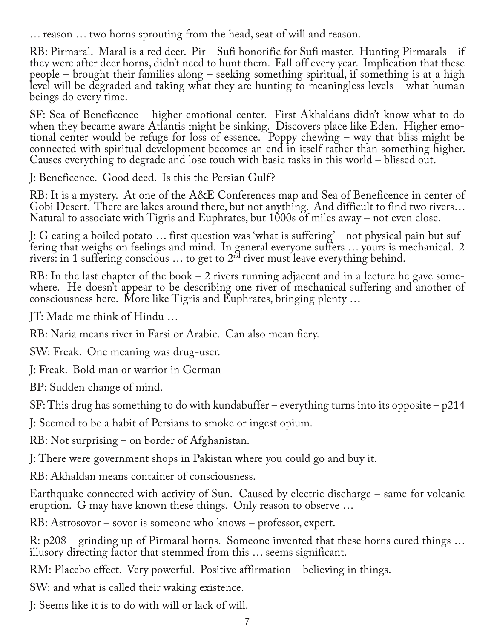… reason … two horns sprouting from the head, seat of will and reason.

RB: Pirmaral. Maral is a red deer. Pir – Sufi honorific for Sufi master. Hunting Pirmarals – if they were after deer horns, didn't need to hunt them. Fall off every year. Implication that these people – brought their families along – seeking something spiritual, if something is at a high level will be degraded and taking what they are hunting to meaningless levels – what human beings do every time.

SF: Sea of Beneficence – higher emotional center. First Akhaldans didn't know what to do when they became aware Atlantis might be sinking. Discovers place like Eden. Higher emotional center would be refuge for loss of essence. Poppy chewing – way that bliss might be connected with spiritual development becomes an end in itself rather than something higher. Causes everything to degrade and lose touch with basic tasks in this world – blissed out.

J: Beneficence. Good deed. Is this the Persian Gulf ?

RB: It is a mystery. At one of the A&E Conferences map and Sea of Beneficence in center of Gobi Desert. There are lakes around there, but not anything. And difficult to find two rivers… Natural to associate with Tigris and Euphrates, but 1000s of miles away – not even close.

J: G eating a boiled potato … first question was 'what is suffering' – not physical pain but suf‐ fering that weighs on feelings and mind. In general everyone suffers … yours is mechanical. 2 rivers: in 1 suffering conscious ... to get to  $2<sup>nd</sup>$  river must leave everything behind.

RB: In the last chapter of the book  $-2$  rivers running adjacent and in a lecture he gave somewhere. He doesn't appear to be describing one river of mechanical suffering and another of consciousness here. More like Tigris and Euphrates, bringing plenty …

JT: Made me think of Hindu …

RB: Naria means river in Farsi or Arabic. Can also mean fiery.

SW: Freak. One meaning was drug-user.

J: Freak. Bold man or warrior in German

BP: Sudden change of mind.

SF: This drug has something to do with kundabuffer – everything turns into its opposite – p214

J: Seemed to be a habit of Persians to smoke or ingest opium.

RB: Not surprising – on border of Afghanistan.

J: There were government shops in Pakistan where you could go and buy it.

RB: Akhaldan means container of consciousness.

Earthquake connected with activity of Sun. Caused by electric discharge – same for volcanic eruption. G may have known these things. Only reason to observe …

RB: Astrosovor – sovor is someone who knows – professor, expert.

R: p208 – grinding up of Pirmaral horns. Someone invented that these horns cured things … illusory directing factor that stemmed from this … seems significant.

RM: Placebo effect. Very powerful. Positive affirmation – believing in things.

SW: and what is called their waking existence.

J: Seems like it is to do with will or lack of will.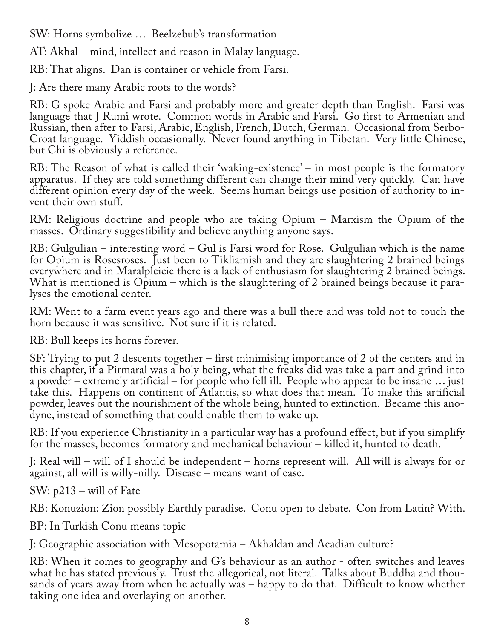SW: Horns symbolize … Beelzebub's transformation

AT: Akhal – mind, intellect and reason in Malay language.

RB: That aligns. Dan is container or vehicle from Farsi.

J: Are there many Arabic roots to the words?

RB: G spoke Arabic and Farsi and probably more and greater depth than English. Farsi was language that J Rumi wrote. Common words in Arabic and Farsi. Go first to Armenian and Russian, then after to Farsi, Arabic, English, French, Dutch, German. Occasional from Serbo-Croat language. Yiddish occasionally. Never found anything in Tibetan. Very little Chinese, but Chi is obviously a reference.

RB: The Reason of what is called their 'waking-existence' – in most people is the formatory apparatus. If they are told something different can change their mind very quickly. Can have different opinion every day of the week. Seems human beings use position of authority to in‐ vent their own stuff.

RM: Religious doctrine and people who are taking Opium – Marxism the Opium of the masses. Ordinary suggestibility and believe anything anyone says.

RB: Gulgulian – interesting word – Gul is Farsi word for Rose. Gulgulian which is the name for Opium is Rosesroses. Just been to Tikliamish and they are slaughtering 2 brained beings everywhere and in Maralpleicie there is a lack of enthusiasm for slaughtering 2 brained beings. What is mentioned is Opium – which is the slaughtering of 2 brained beings because it paralyses the emotional center.

RM: Went to a farm event years ago and there was a bull there and was told not to touch the horn because it was sensitive. Not sure if it is related.

RB: Bull keeps its horns forever.

SF: Trying to put 2 descents together – first minimising importance of 2 of the centers and in this chapter, if a Pirmaral was a holy being, what the freaks did was take a part and grind into a powder – extremely artificial – for people who fell ill. People who appear to be insane … just take this. Happens on continent of Atlantis, so what does that mean. To make this artificial powder, leaves out the nourishment of the whole being, hunted to extinction. Became this ano‐ dyne, instead of something that could enable them to wake up.

RB: If you experience Christianity in a particular way has a profound effect, but if you simplify for the masses, becomes formatory and mechanical behaviour – killed it, hunted to death.

J: Real will – will of I should be independent – horns represent will. All will is always for or against, all will is willy-nilly. Disease – means want of ease.

SW: p213 – will of Fate

RB: Konuzion: Zion possibly Earthly paradise. Conu open to debate. Con from Latin? With.

BP: In Turkish Conu means topic

J: Geographic association with Mesopotamia – Akhaldan and Acadian culture?

RB: When it comes to geography and G's behaviour as an author - often switches and leaves<br>what he has stated previously. Trust the allegorical, not literal. Talks about Buddha and thousands of years away from when he actually was – happy to do that. Difficult to know whether taking one idea and overlaying on another.